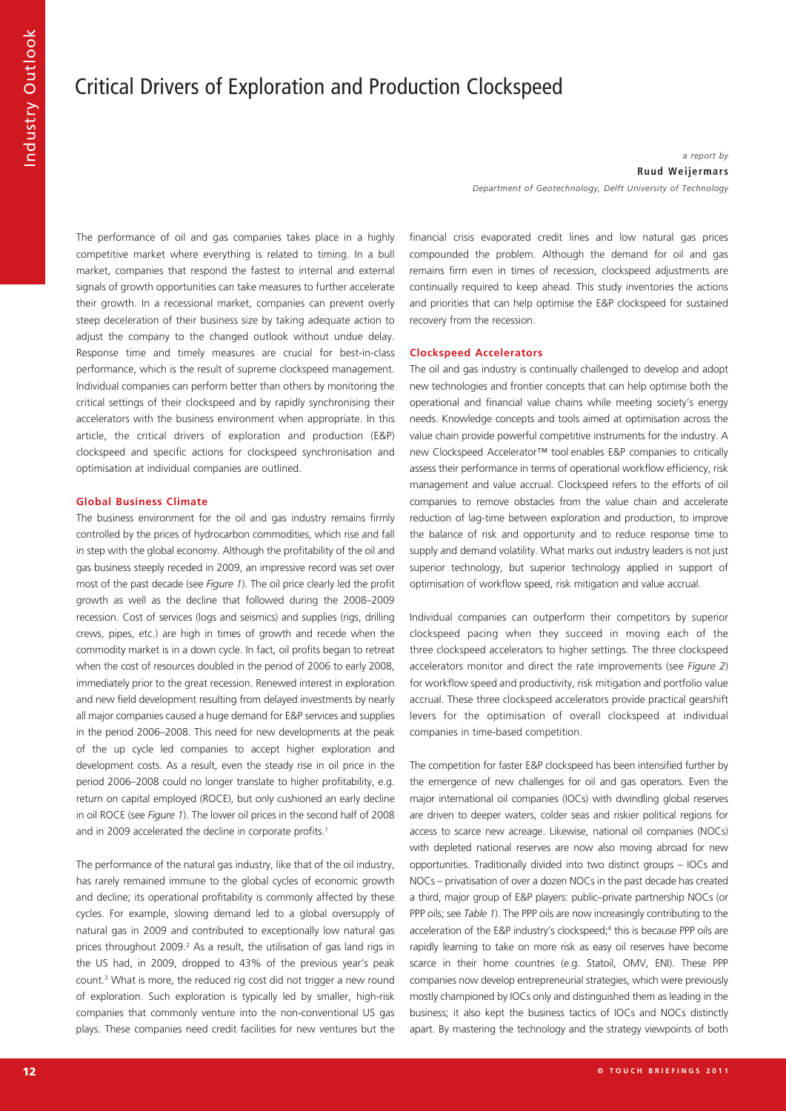# Critical Drivers of Exploration and Production Clockspeed

## *a report by* **Ruud Weijermar s**

*Department of Geotechnology, Delft University of Technology*

The performance of oil and gas companies takes place in a highly competitive market where everything is related to timing. In a bull market, companies that respond the fastest to internal and external signals of growth opportunities can take measures to further accelerate their growth. In a recessional market, companies can prevent overly steep deceleration of their business size by taking adequate action to adjust the company to the changed outlook without undue delay. Response time and timely measures are crucial for best-in-class performance, which is the result of supreme clockspeed management. Individual companies can perform better than others by monitoring the critical settings of their clockspeed and by rapidly synchronising their accelerators with the business environment when appropriate. In this article, the critical drivers of exploration and production (E&P) clockspeed and specific actions for clockspeed synchronisation and optimisation at individual companies are outlined.

# **Global Business Climate**

The business environment for the oil and gas industry remains firmly controlled by the prices of hydrocarbon commodities, which rise and fall in step with the global economy. Although the profitability of the oil and gas business steeply receded in 2009, an impressive record was set over most of the past decade (see *Figure 1*). The oil price clearly led the profit growth as well as the decline that followed during the 2008–2009 recession. Cost of services (logs and seismics) and supplies (rigs, drilling crews, pipes, etc.) are high in times of growth and recede when the commodity market is in a down cycle. In fact, oil profits began to retreat when the cost of resources doubled in the period of 2006 to early 2008, immediately prior to the great recession. Renewed interest in exploration and new field development resulting from delayed investments by nearly all major companies caused a huge demand for E&P services and supplies in the period 2006–2008. This need for new developments at the peak of the up cycle led companies to accept higher exploration and development costs. As a result, even the steady rise in oil price in the period 2006–2008 could no longer translate to higher profitability, e.g. return on capital employed (ROCE), but only cushioned an early decline in oil ROCE (see *Figure 1*). The lower oil prices in the second half of 2008 and in 2009 accelerated the decline in corporate profits. 1

The performance of the natural gas industry, like that of the oil industry, has rarely remained immune to the global cycles of economic growth and decline; its operational profitability is commonly affected by these cycles. For example, slowing demand led to a global oversupply of natural gas in 2009 and contributed to exceptionally low natural gas prices throughout 2009. <sup>2</sup> As a result, the utilisation of gas land rigs in the US had, in 2009, dropped to 43% of the previous year's peak count. <sup>3</sup> What is more, the reduced rig cost did not trigger a new round of exploration. Such exploration is typically led by smaller, high-risk companies that commonly venture into the non-conventional US gas plays. These companies need credit facilities for new ventures but the financial crisis evaporated credit lines and low natural gas prices compounded the problem. Although the demand for oil and gas remains firm even in times of recession, clockspeed adjustments are continually required to keep ahead. This study inventories the actions and priorities that can help optimise the E&P clockspeed for sustained recovery from the recession.

# **Clockspeed Accelerators**

The oil and gas industry is continually challenged to develop and adopt new technologies and frontier concepts that can help optimise both the operational and financial value chains while meeting society's energy needs. Knowledge concepts and tools aimed at optimisation across the value chain provide powerful competitive instruments for the industry. A new Clockspeed Accelerator™ tool enables E&P companies to critically assess their performance in terms of operational workflow efficiency, risk management and value accrual. Clockspeed refers to the efforts of oil companies to remove obstacles from the value chain and accelerate reduction of lag-time between exploration and production, to improve the balance of risk and opportunity and to reduce response time to supply and demand volatility. What marks out industry leaders is not just superior technology, but superior technology applied in support of optimisation of workflow speed, risk mitigation and value accrual.

Individual companies can outperform their competitors by superior clockspeed pacing when they succeed in moving each of the three clockspeed accelerators to higher settings. The three clockspeed accelerators monitor and direct the rate improvements (see *Figure 2*) for workflow speed and productivity, risk mitigation and portfolio value accrual. These three clockspeed accelerators provide practical gearshift levers for the optimisation of overall clockspeed at individual companies in time-based competition.

The competition for faster E&P clockspeed has been intensified further by the emergence of new challenges for oil and gas operators. Even the major international oil companies (IOCs) with dwindling global reserves are driven to deeper waters, colder seas and riskier political regions for access to scarce new acreage. Likewise, national oil companies (NOCs) with depleted national reserves are now also moving abroad for new opportunities. Traditionally divided into two distinct groups – IOCs and NOCs – privatisation of over a dozen NOCs in the past decade has created a third, major group of E&P players: public–private partnership NOCs (or PPP oils; see *Table 1*). The PPP oils are now increasingly contributing to the acceleration of the E&P industry's clockspeed; <sup>4</sup> this is because PPP oils are rapidly learning to take on more risk as easy oil reserves have become scarce in their home countries (e.g. Statoil, OMV, ENI). These PPP companies now develop entrepreneurial strategies, which were previously mostly championed by IOCs only and distinguished them as leading in the business; it also kept the business tactics of IOCs and NOCs distinctly apart. By mastering the technology and the strategy viewpoints of both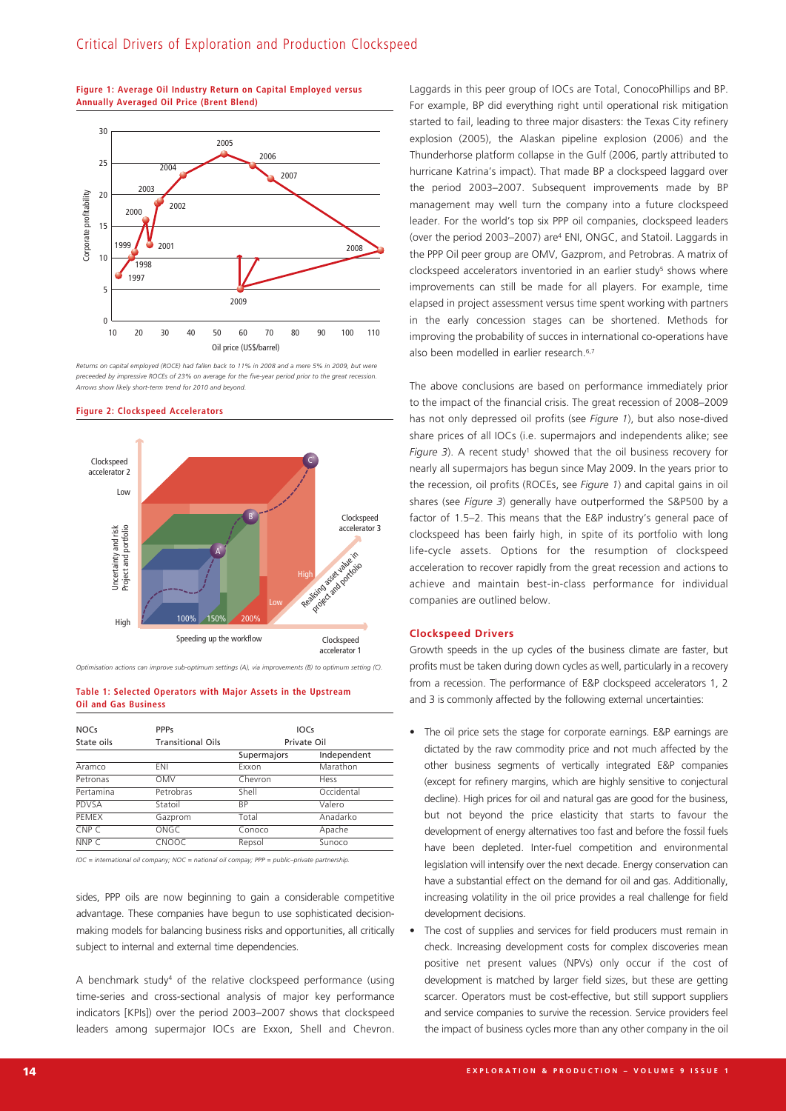

## **Figure 1: Average Oil Industry Return on Capital Employed versus Annually Averaged Oil Price (Brent Blend)**

Returns on capital employed (ROCE) had fallen back to 11% in 2008 and a mere 5% in 2009, but were *preceeded by impressive ROCEs of 23% on average for the five-year period prior to the great recession. Arrows show likely short-term trend for 2010 and beyond.*



### **Figure 2: Clockspeed Accelerators**

*Optimisation actions can improve sub-optimum settings (A), via improvements (B) to optimum setting (C).*

## **Table 1: Selected Operators with Major Assets in the Upstream Oil and Gas Business**

| <b>NOCs</b>      | <b>PPPs</b>              | <b>IOCS</b> |             |
|------------------|--------------------------|-------------|-------------|
| State oils       | <b>Transitional Oils</b> | Private Oil |             |
|                  |                          | Supermajors | Independent |
| Aramco           | ENI                      | Exxon       | Marathon    |
| Petronas         | <b>OMV</b>               | Chevron     | Hess        |
| Pertamina        | Petrobras                | Shell       | Occidental  |
| PDVSA            | Statoil                  | <b>BP</b>   | Valero      |
| PEMEX            | Gazprom                  | Total       | Anadarko    |
| CNP <sub>C</sub> | ONGC                     | Conoco      | Apache      |
| NNP C            | CNOOC                    | Repsol      | Sunoco      |

*IOC = international oil company; NOC = national oil compay; PPP = public–private partnership.*

sides, PPP oils are now beginning to gain a considerable competitive advantage. These companies have begun to use sophisticated decisionmaking models for balancing business risks and opportunities, all critically subject to internal and external time dependencies.

A benchmark study4 of the relative clockspeed performance (using time-series and cross-sectional analysis of major key performance indicators [KPIs]) over the period 2003–2007 shows that clockspeed leaders among supermajor IOCs are Exxon, Shell and Chevron. Laggards in this peer group of IOCs are Total, ConocoPhillips and BP. For example, BP did everything right until operational risk mitigation started to fail, leading to three major disasters: the Texas City refinery explosion (2005), the Alaskan pipeline explosion (2006) and the Thunderhorse platform collapse in the Gulf (2006, partly attributed to hurricane Katrina's impact). That made BP a clockspeed laggard over the period 2003–2007. Subsequent improvements made by BP management may well turn the company into a future clockspeed leader. For the world's top six PPP oil companies, clockspeed leaders (over the period 2003–2007) are4 ENI, ONGC, and Statoil. Laggards in the PPP Oil peer group are OMV, Gazprom, and Petrobras. A matrix of clockspeed accelerators inventoried in an earlier study<sup>5</sup> shows where improvements can still be made for all players. For example, time elapsed in project assessment versus time spent working with partners in the early concession stages can be shortened. Methods for improving the probability of succes in international co-operations have also been modelled in earlier research. 6,7

The above conclusions are based on performance immediately prior to the impact of the financial crisis. The great recession of 2008–2009 has not only depressed oil profits (see *Figure 1*), but also nose-dived share prices of all IOCs (i.e. supermajors and independents alike; see *Figure* 3). A recent study<sup>1</sup> showed that the oil business recovery for nearly all supermajors has begun since May 2009. In the years prior to the recession, oil profits (ROCEs, see *Figure 1*) and capital gains in oil shares (see *Figure 3*) generally have outperformed the S&P500 by a factor of 1.5–2. This means that the E&P industry's general pace of clockspeed has been fairly high, in spite of its portfolio with long life-cycle assets. Options for the resumption of clockspeed acceleration to recover rapidly from the great recession and actions to achieve and maintain best-in-class performance for individual companies are outlined below.

# **Clockspeed Drivers**

Growth speeds in the up cycles of the business climate are faster, but profits must be taken during down cycles as well, particularly in a recovery from a recession. The performance of E&P clockspeed accelerators 1, 2 and 3 is commonly affected by the following external uncertainties:

- The oil price sets the stage for corporate earnings. E&P earnings are dictated by the raw commodity price and not much affected by the other business segments of vertically integrated E&P companies (except for refinery margins, which are highly sensitive to conjectural decline). High prices for oil and natural gas are good for the business, but not beyond the price elasticity that starts to favour the development of energy alternatives too fast and before the fossil fuels have been depleted. Inter-fuel competition and environmental legislation will intensify over the next decade. Energy conservation can have a substantial effect on the demand for oil and gas. Additionally, increasing volatility in the oil price provides a real challenge for field development decisions.
- The cost of supplies and services for field producers must remain in check. Increasing development costs for complex discoveries mean positive net present values (NPVs) only occur if the cost of development is matched by larger field sizes, but these are getting scarcer. Operators must be cost-effective, but still support suppliers and service companies to survive the recession. Service providers feel the impact of business cycles more than any other company in the oil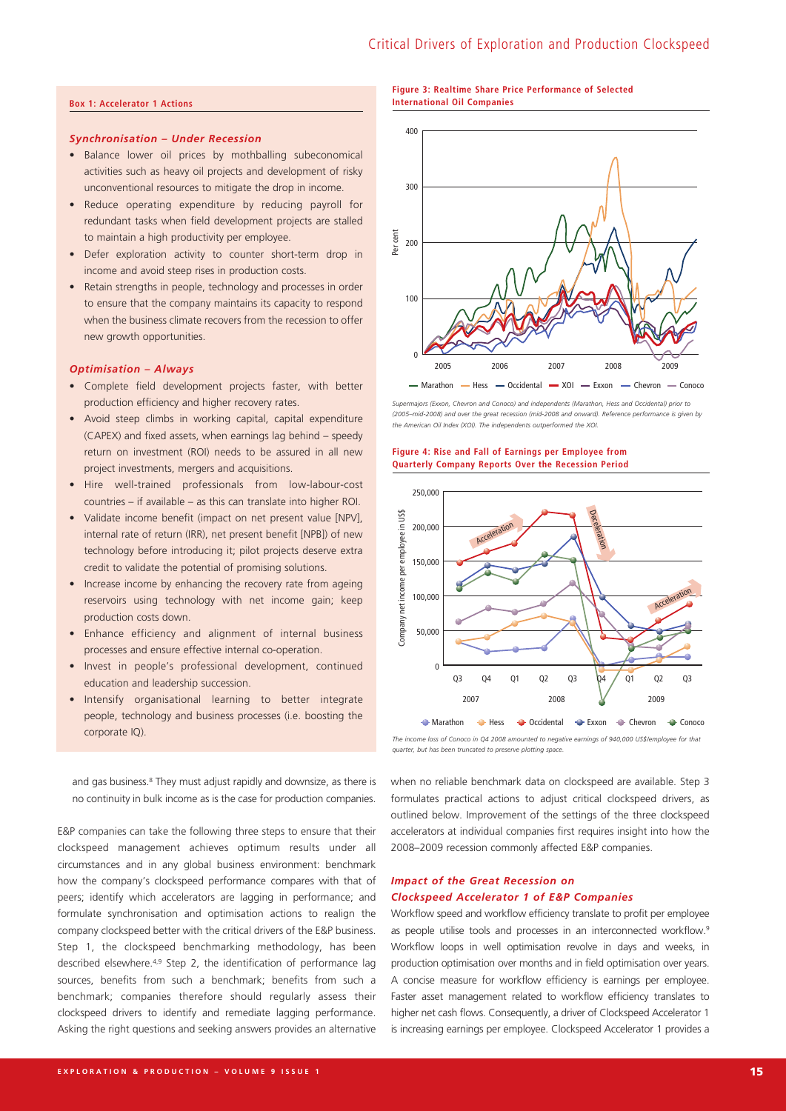# **Box 1: Accelerator 1 Actions**

# *Synchronisation – Under Recession*

- Balance lower oil prices by mothballing subeconomical activities such as heavy oil projects and development of risky unconventional resources to mitigate the drop in income.
- Reduce operating expenditure by reducing payroll for redundant tasks when field development projects are stalled to maintain a high productivity per employee.
- Defer exploration activity to counter short-term drop in income and avoid steep rises in production costs.
- Retain strengths in people, technology and processes in order to ensure that the company maintains its capacity to respond when the business climate recovers from the recession to offer new growth opportunities.

#### *Optimisation – Always*

- Complete field development projects faster, with better production efficiency and higher recovery rates.
- Avoid steep climbs in working capital, capital expenditure (CAPEX) and fixed assets, when earnings lag behind – speedy return on investment (ROI) needs to be assured in all new project investments, mergers and acquisitions.
- Hire well-trained professionals from low-labour-cost countries – if available – as this can translate into higher ROI.
- Validate income benefit (impact on net present value [NPV], internal rate of return (IRR), net present benefit [NPB]) of new technology before introducing it; pilot projects deserve extra credit to validate the potential of promising solutions.
- Increase income by enhancing the recovery rate from ageing reservoirs using technology with net income gain; keep production costs down.
- Enhance efficiency and alignment of internal business processes and ensure effective internal co-operation.
- Invest in people's professional development, continued education and leadership succession.
- Intensify organisational learning to better integrate people, technology and business processes (i.e. boosting the corporate IQ).

and gas business. <sup>8</sup> They must adjust rapidly and downsize, as there is no continuity in bulk income as is the case for production companies.

E&P companies can take the following three steps to ensure that their clockspeed management achieves optimum results under all circumstances and in any global business environment: benchmark how the company's clockspeed performance compares with that of peers; identify which accelerators are lagging in performance; and formulate synchronisation and optimisation actions to realign the company clockspeed better with the critical drivers of the E&P business. Step 1, the clockspeed benchmarking methodology, has been described elsewhere. 4,9 Step 2, the identification of performance lag sources, benefits from such a benchmark; benefits from such a benchmark; companies therefore should regularly assess their clockspeed drivers to identify and remediate lagging performance. Asking the right questions and seeking answers provides an alternative

## **Figure 3: Realtime Share Price Performance of Selected International Oil Companies**



*Supermajors (Exxon, Chevron and Conoco) and independents (Marathon, Hess and Occidental) prior to (2005–mid-2008) and over the great recession (mid-2008 and onward). Reference performance is given by the American Oil Index (XOI). The independents outperformed the XOI.*

## **Figure 4: Rise and Fall of Earnings per Employee from Quarterly Company Reports Over the Recession Period**



*The income loss of Conoco in Q4 2008 amounted to negative earnings of 940,000 US\$/employee for that quarter, but has been truncated to preserve plotting space.*

when no reliable benchmark data on clockspeed are available. Step 3 formulates practical actions to adjust critical clockspeed drivers, as outlined below. Improvement of the settings of the three clockspeed accelerators at individual companies first requires insight into how the 2008–2009 recession commonly affected E&P companies.

# *Impact of the Great Recession on Clockspeed Accelerator 1 of E&P Companies*

Workflow speed and workflow efficiency translate to profit per employee as people utilise tools and processes in an interconnected workflow.<sup>9</sup> Workflow loops in well optimisation revolve in days and weeks, in production optimisation over months and in field optimisation over years. A concise measure for workflow efficiency is earnings per employee. Faster asset management related to workflow efficiency translates to higher net cash flows. Consequently, a driver of Clockspeed Accelerator 1 is increasing earnings per employee. Clockspeed Accelerator 1 provides a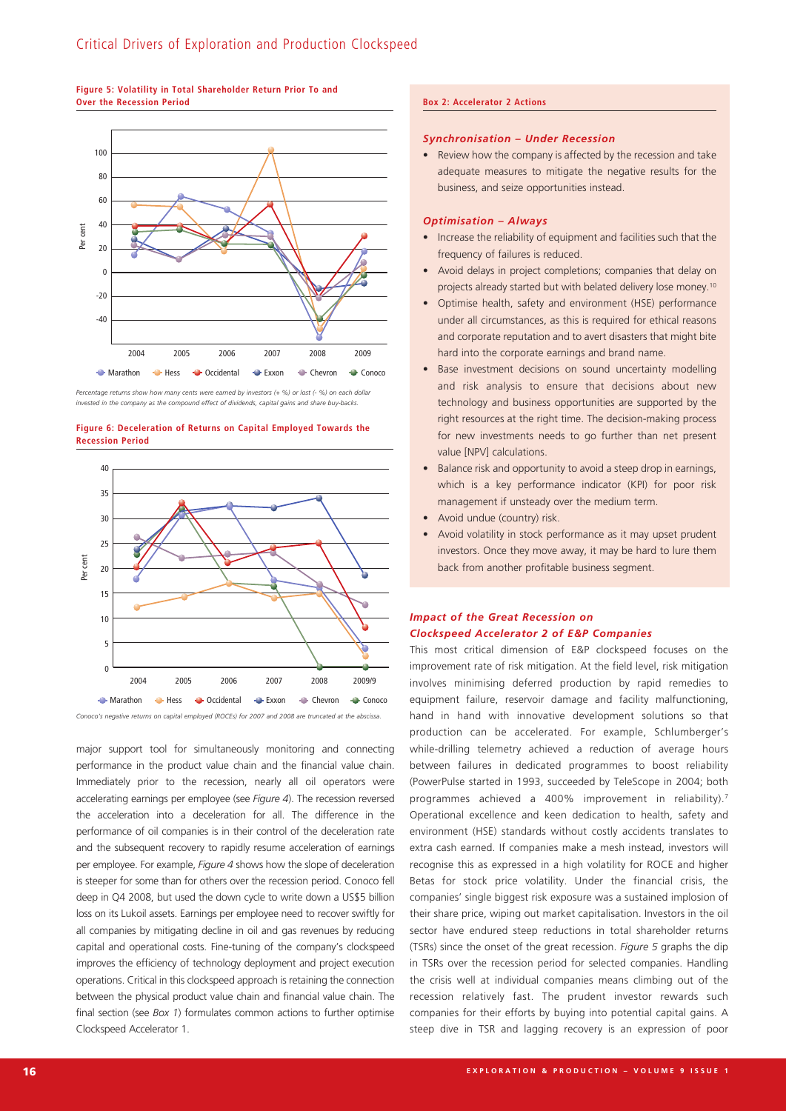# **Figure 5: Volatility in Total Shareholder Return Prior To and Over the Recession Period**



Percentage returns show how many cents were earned by investors (+ %) or lost (- %) on each dollar *invested in the company as the compound effect of dividends, capital gains and share buy-backs.*

**Figure 6: Deceleration of Returns on Capital Employed Towards the Recession Period**



major support tool for simultaneously monitoring and connecting performance in the product value chain and the financial value chain. Immediately prior to the recession, nearly all oil operators were accelerating earnings per employee (see *Figure 4*). The recession reversed the acceleration into a deceleration for all. The difference in the performance of oil companies is in their control of the deceleration rate and the subsequent recovery to rapidly resume acceleration of earnings per employee. For example, *Figure 4* shows how the slope of deceleration is steeper for some than for others over the recession period. Conoco fell deep in Q4 2008, but used the down cycle to write down a US\$5 billion loss on its Lukoil assets. Earnings per employee need to recover swiftly for all companies by mitigating decline in oil and gas revenues by reducing capital and operational costs. Fine-tuning of the company's clockspeed improves the efficiency of technology deployment and project execution operations. Critical in this clockspeed approach is retaining the connection between the physical product value chain and financial value chain. The final section (see *Box 1*) formulates common actions to further optimise Clockspeed Accelerator 1.

## **Box 2: Accelerator 2 Actions**

# *Synchronisation – Under Recession*

Review how the company is affected by the recession and take adequate measures to mitigate the negative results for the business, and seize opportunities instead.

## *Optimisation – Always*

- Increase the reliability of equipment and facilities such that the frequency of failures is reduced.
- Avoid delays in project completions; companies that delay on projects already started but with belated delivery lose money. 10
- Optimise health, safety and environment (HSE) performance under all circumstances, as this is required for ethical reasons and corporate reputation and to avert disasters that might bite hard into the corporate earnings and brand name.
- Base investment decisions on sound uncertainty modelling and risk analysis to ensure that decisions about new technology and business opportunities are supported by the right resources at the right time. The decision-making process for new investments needs to go further than net present value [NPV] calculations.
- Balance risk and opportunity to avoid a steep drop in earnings, which is a key performance indicator (KPI) for poor risk management if unsteady over the medium term.
- Avoid undue (country) risk.
- Avoid volatility in stock performance as it may upset prudent investors. Once they move away, it may be hard to lure them back from another profitable business segment.

# *Impact of the Great Recession on Clockspeed Accelerator 2 of E&P Companies*

This most critical dimension of E&P clockspeed focuses on the improvement rate of risk mitigation. At the field level, risk mitigation involves minimising deferred production by rapid remedies to equipment failure, reservoir damage and facility malfunctioning, hand in hand with innovative development solutions so that production can be accelerated. For example, Schlumberger's while-drilling telemetry achieved a reduction of average hours between failures in dedicated programmes to boost reliability (PowerPulse started in 1993, succeeded by TeleScope in 2004; both programmes achieved a 400% improvement in reliability).<sup>7</sup> Operational excellence and keen dedication to health, safety and environment (HSE) standards without costly accidents translates to extra cash earned. If companies make a mesh instead, investors will recognise this as expressed in a high volatility for ROCE and higher Betas for stock price volatility. Under the financial crisis, the companies' single biggest risk exposure was a sustained implosion of their share price, wiping out market capitalisation. Investors in the oil sector have endured steep reductions in total shareholder returns (TSRs) since the onset of the great recession. *Figure 5* graphs the dip in TSRs over the recession period for selected companies. Handling the crisis well at individual companies means climbing out of the recession relatively fast. The prudent investor rewards such companies for their efforts by buying into potential capital gains. A steep dive in TSR and lagging recovery is an expression of poor